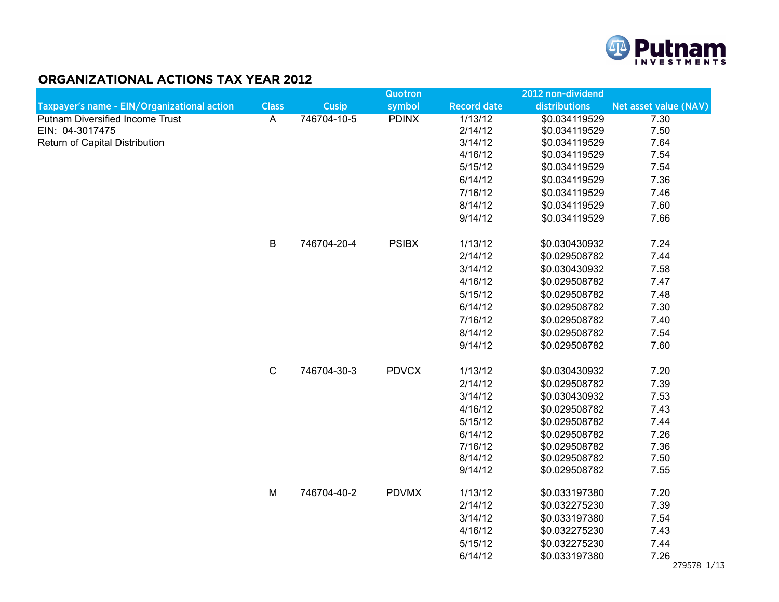

## ORGANIZATIONAL ACTIONS TAX YEAR 2012

|                                             |                           |              | <b>Quotron</b> |                    | 2012 non-dividend |                       |
|---------------------------------------------|---------------------------|--------------|----------------|--------------------|-------------------|-----------------------|
| Taxpayer's name - EIN/Organizational action | <b>Class</b>              | <b>Cusip</b> | symbol         | <b>Record date</b> | distributions     | Net asset value (NAV) |
| <b>Putnam Diversified Income Trust</b>      | $\boldsymbol{\mathsf{A}}$ | 746704-10-5  | <b>PDINX</b>   | 1/13/12            | \$0.034119529     | 7.30                  |
| EIN: 04-3017475                             |                           |              |                | 2/14/12            | \$0.034119529     | 7.50                  |
| Return of Capital Distribution              |                           |              |                | 3/14/12            | \$0.034119529     | 7.64                  |
|                                             |                           |              |                | 4/16/12            | \$0.034119529     | 7.54                  |
|                                             |                           |              |                | 5/15/12            | \$0.034119529     | 7.54                  |
|                                             |                           |              |                | 6/14/12            | \$0.034119529     | 7.36                  |
|                                             |                           |              |                | 7/16/12            | \$0.034119529     | 7.46                  |
|                                             |                           |              |                | 8/14/12            | \$0.034119529     | 7.60                  |
|                                             |                           |              |                | 9/14/12            | \$0.034119529     | 7.66                  |
|                                             | $\sf B$                   | 746704-20-4  | <b>PSIBX</b>   | 1/13/12            | \$0.030430932     | 7.24                  |
|                                             |                           |              |                | 2/14/12            | \$0.029508782     | 7.44                  |
|                                             |                           |              |                | 3/14/12            | \$0.030430932     | 7.58                  |
|                                             |                           |              |                | 4/16/12            | \$0.029508782     | 7.47                  |
|                                             |                           |              |                | 5/15/12            | \$0.029508782     | 7.48                  |
|                                             |                           |              |                | 6/14/12            | \$0.029508782     | 7.30                  |
|                                             |                           |              |                | 7/16/12            | \$0.029508782     | 7.40                  |
|                                             |                           |              |                | 8/14/12            | \$0.029508782     | 7.54                  |
|                                             |                           |              |                | 9/14/12            | \$0.029508782     | 7.60                  |
|                                             | $\mathbf C$               | 746704-30-3  | <b>PDVCX</b>   | 1/13/12            | \$0.030430932     | 7.20                  |
|                                             |                           |              |                | 2/14/12            | \$0.029508782     | 7.39                  |
|                                             |                           |              |                | 3/14/12            | \$0.030430932     | 7.53                  |
|                                             |                           |              |                | 4/16/12            | \$0.029508782     | 7.43                  |
|                                             |                           |              |                | 5/15/12            | \$0.029508782     | 7.44                  |
|                                             |                           |              |                | 6/14/12            | \$0.029508782     | 7.26                  |
|                                             |                           |              |                | 7/16/12            | \$0.029508782     | 7.36                  |
|                                             |                           |              |                | 8/14/12            | \$0.029508782     | 7.50                  |
|                                             |                           |              |                | 9/14/12            | \$0.029508782     | 7.55                  |
|                                             | M                         | 746704-40-2  | <b>PDVMX</b>   | 1/13/12            | \$0.033197380     | 7.20                  |
|                                             |                           |              |                | 2/14/12            | \$0.032275230     | 7.39                  |
|                                             |                           |              |                | 3/14/12            | \$0.033197380     | 7.54                  |
|                                             |                           |              |                | 4/16/12            | \$0.032275230     | 7.43                  |
|                                             |                           |              |                | 5/15/12            | \$0.032275230     | 7.44                  |
|                                             |                           |              |                | 6/14/12            | \$0.033197380     | 7.26<br>279578 1/     |